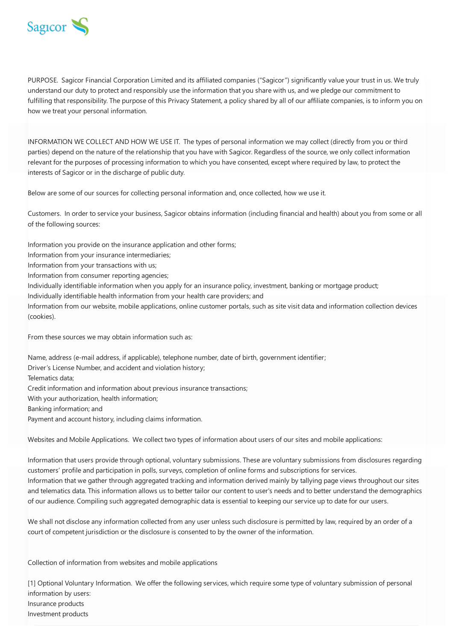

PURPOSE. Sagicor Financial Corporation Limited and its affiliated companies ("Sagicor") significantly value your trust in us. We truly understand our duty to protect and responsibly use the information that you share with us, and we pledge our commitment to fulfilling that responsibility. The purpose of this Privacy Statement, a policy shared by all of our affiliate companies, is to inform you on how we treat your personal information.

INFORMATION WE COLLECT AND HOW WE USE IT. The types of personal information we may collect (directly from you or third parties) depend on the nature of the relationship that you have with Sagicor. Regardless of the source, we only collect information relevant for the purposes of processing information to which you have consented, except where required by law, to protect the interests of Sagicor or in the discharge of public duty.

Below are some of our sources for collecting personal information and, once collected, how we use it.

Customers. In order to service your business, Sagicor obtains information (including financial and health) about you from some or all of the following sources:

Information you provide on the insurance application and other forms;

Information from your insurance intermediaries;

Information from your transactions with us;

Information from consumer reporting agencies;

Individually identifiable information when you apply for an insurance policy, investment, banking or mortgage product;

Individually identifiable health information from your health care providers; and

Information from our website, mobile applications, online customer portals, such as site visit data and information collection devices (cookies).

From these sources we may obtain information such as:

Name, address (e-mail address, if applicable), telephone number, date of birth, government identifier; Driver's License Number, and accident and violation history; Telematics data; Credit information and information about previous insurance transactions; With your authorization, health information; Banking information; and Payment and account history, including claims information.

Websites and Mobile Applications. We collect two types of information about users of our sites and mobile applications:

Information that users provide through optional, voluntary submissions. These are voluntary submissions from disclosures regarding customers' profile and participation in polls, surveys, completion of online forms and subscriptions for services. Information that we gather through aggregated tracking and information derived mainly by tallying page views throughout our sites and telematics data. This information allows us to better tailor our content to user's needs and to better understand the demographics of our audience. Compiling such aggregated demographic data is essential to keeping our service up to date for our users.

We shall not disclose any information collected from any user unless such disclosure is permitted by law, required by an order of a court of competent jurisdiction or the disclosure is consented to by the owner of the information.

Collection of information from websites and mobile applications

[1] Optional Voluntary Information. We offer the following services, which require some type of voluntary submission of personal information by users: Insurance products Investment products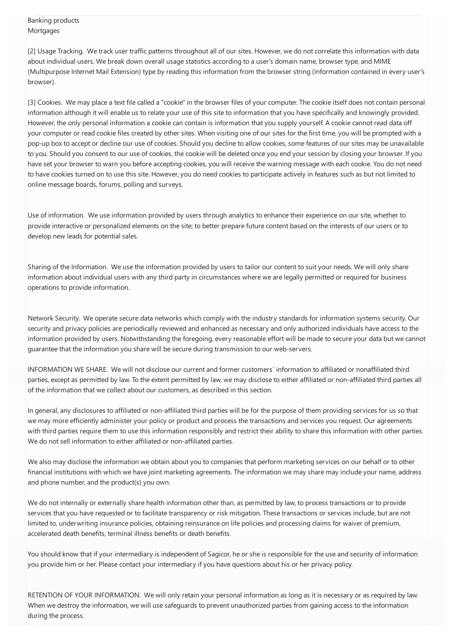Banking products **Mortgages** 

[2] Usage Tracking. We track user traffic patterns throughout all of our sites. However, we do not correlate this information with data about individual users. We break down overall usage statistics according to a user's domain name, browser type, and MIME (Multipurpose Internet Mail Extension) type by reading this information from the browser string (information contained in every user's browser).

[3] Cookies. We may place a text file called a "cookie" in the browser files of your computer. The cookie itself does not contain personal information although it will enable us to relate your use of this site to information that you have specifically and knowingly provided. However, the only personal information a cookie can contain is information that you supply yourself. A cookie cannot read data off your computer or read cookie files created by other sites. When visiting one of our sites for the first time, you will be prompted with a pop-up box to accept or decline our use of cookies. Should you decline to allow cookies, some features of our sites may be unavailable to you. Should you consent to our use of cookies, the cookie will be deleted once you end your session by closing your browser. If you have set your browser to warn you before accepting cookies, you will receive the warning message with each cookie. You do not need to have cookies turned on to use this site. However, you do need cookies to participate actively in features such as but not limited to online message boards, forums, polling and surveys.

Use of information. We use information provided by users through analytics to enhance their experience on our site, whether to provide interactive or personalized elements on the site; to better prepare future content based on the interests of our users or to develop new leads for potential sales.

Sharing of the Information. We use the information provided by users to tailor our content to suit your needs. We will only share information about individual users with any third party in circumstances where we are legally permitted or required for business operations to provide information.

Network Security. We operate secure data networks which comply with the industry standards for information systems security. Our security and privacy policies are periodically reviewed and enhanced as necessary and only authorized individuals have access to the information provided by users. Notwithstanding the foregoing, every reasonable effort will be made to secure your data but we cannot guarantee that the information you share will be secure during transmission to our web-servers.

INFORMATION WE SHARE. We will not disclose our current and former customers´ information to affiliated or nonaffiliated third parties, except as permitted by law. To the extent permitted by law, we may disclose to either affiliated or non-affiliated third parties all of the information that we collect about our customers, as described in this section.

In general, any disclosures to affiliated or non-affiliated third parties will be for the purpose of them providing services for us so that we may more efficiently administer your policy or product and process the transactions and services you request. Our agreements with third parties require them to use this information responsibly and restrict their ability to share this information with other parties. We do not sell information to either affiliated or non-affiliated parties.

We also may disclose the information we obtain about you to companies that perform marketing services on our behalf or to other financial institutions with which we have joint marketing agreements. The information we may share may include your name, address and phone number, and the product(s) you own.

We do not internally or externally share health information other than, as permitted by law, to process transactions or to provide services that you have requested or to facilitate transparency or risk mitigation. These transactions or services include, but are not limited to, underwriting insurance policies, obtaining reinsurance on life policies and processing claims for waiver of premium, accelerated death benefits, terminal illness benefits or death benefits.

You should know that if your intermediary is independent of Sagicor, he or she is responsible for the use and security of information you provide him or her. Please contact your intermediary if you have questions about his or her privacy policy.

RETENTION OF YOUR INFORMATION. We will only retain your personal information as long as it is necessary or as required by law. When we destroy the information, we will use safeguards to prevent unauthorized parties from gaining access to the information during the process.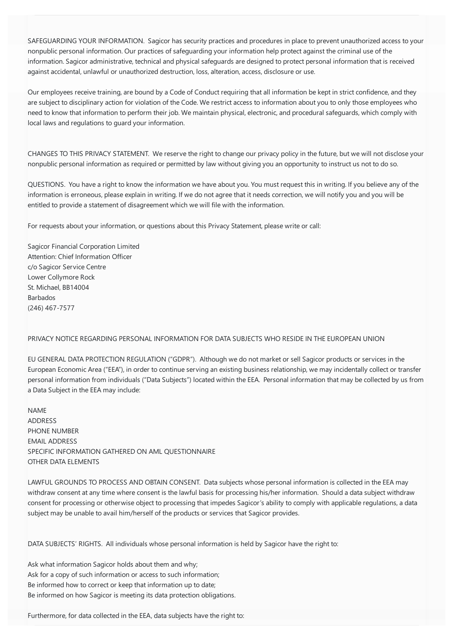SAFEGUARDING YOUR INFORMATION. Sagicor has security practices and procedures in place to prevent unauthorized access to your nonpublic personal information. Our practices of safeguarding your information help protect against the criminal use of the information. Sagicor administrative, technical and physical safeguards are designed to protect personal information that is received against accidental, unlawful or unauthorized destruction, loss, alteration, access, disclosure or use.

Our employees receive training, are bound by a Code of Conduct requiring that all information be kept in strict confidence, and they are subject to disciplinary action for violation of the Code. We restrict access to information about you to only those employees who need to know that information to perform their job. We maintain physical, electronic, and procedural safeguards, which comply with local laws and regulations to guard your information.

CHANGES TO THIS PRIVACY STATEMENT. We reserve the right to change our privacy policy in the future, but we will not disclose your nonpublic personal information as required or permitted by law without giving you an opportunity to instruct us not to do so.

QUESTIONS. You have a right to know the information we have about you. You must request this in writing. If you believe any of the information is erroneous, please explain in writing. If we do not agree that it needs correction, we will notify you and you will be entitled to provide a statement of disagreement which we will file with the information.

For requests about your information, or questions about this Privacy Statement, please write or call:

Sagicor Financial Corporation Limited Attention: Chief Information Officer c/o Sagicor Service Centre Lower Collymore Rock St. Michael, BB14004 Barbados (246) 467-7577

## PRIVACY NOTICE REGARDING PERSONAL INFORMATION FOR DATA SUBJECTS WHO RESIDE IN THE EUROPEAN UNION

EU GENERAL DATA PROTECTION REGULATION ("GDPR"). Although we do not market or sell Sagicor products or services in the European Economic Area ("EEA"), in order to continue serving an existing business relationship, we may incidentally collect or transfer personal information from individuals ("Data Subjects") located within the EEA. Personal information that may be collected by us from a Data Subject in the EEA may include:

NAME ADDRESS PHONE NUMBER EMAIL ADDRESS SPECIFIC INFORMATION GATHERED ON AML QUESTIONNAIRE OTHER DATA ELEMENTS

LAWFUL GROUNDS TO PROCESS AND OBTAIN CONSENT. Data subjects whose personal information is collected in the EEA may withdraw consent at any time where consent is the lawful basis for processing his/her information. Should a data subject withdraw consent for processing or otherwise object to processing that impedes Sagicor's ability to comply with applicable regulations, a data subject may be unable to avail him/herself of the products or services that Sagicor provides.

DATA SUBJECTS' RIGHTS. All individuals whose personal information is held by Sagicor have the right to:

Ask what information Sagicor holds about them and why; Ask for a copy of such information or access to such information; Be informed how to correct or keep that information up to date; Be informed on how Sagicor is meeting its data protection obligations.

Furthermore, for data collected in the EEA, data subjects have the right to: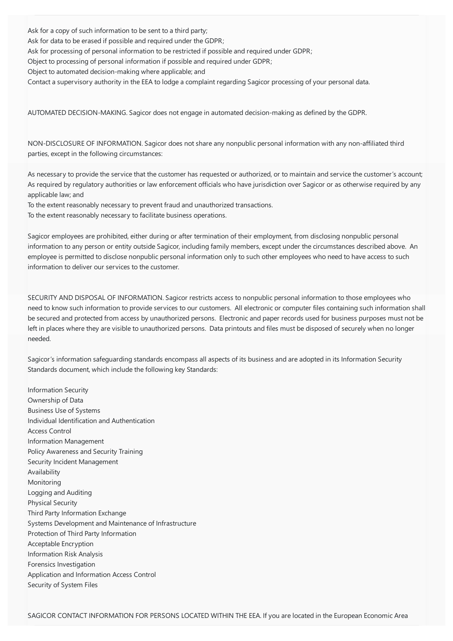Ask for a copy of such information to be sent to a third party; Ask for data to be erased if possible and required under the GDPR; Ask for processing of personal information to be restricted if possible and required under GDPR; Object to processing of personal information if possible and required under GDPR; Object to automated decision-making where applicable; and Contact a supervisory authority in the EEA to lodge a complaint regarding Sagicor processing of your personal data.

AUTOMATED DECISION-MAKING. Sagicor does not engage in automated decision-making as defined by the GDPR.

NON-DISCLOSURE OF INFORMATION. Sagicor does not share any nonpublic personal information with any non-affiliated third parties, except in the following circumstances:

As necessary to provide the service that the customer has requested or authorized, or to maintain and service the customer's account; As required by regulatory authorities or law enforcement officials who have jurisdiction over Sagicor or as otherwise required by any applicable law; and

To the extent reasonably necessary to prevent fraud and unauthorized transactions.

To the extent reasonably necessary to facilitate business operations.

Sagicor employees are prohibited, either during or after termination of their employment, from disclosing nonpublic personal information to any person or entity outside Sagicor, including family members, except under the circumstances described above. An employee is permitted to disclose nonpublic personal information only to such other employees who need to have access to such information to deliver our services to the customer.

SECURITY AND DISPOSAL OF INFORMATION. Sagicor restricts access to nonpublic personal information to those employees who need to know such information to provide services to our customers. All electronic or computer files containing such information shall be secured and protected from access by unauthorized persons. Electronic and paper records used for business purposes must not be left in places where they are visible to unauthorized persons. Data printouts and files must be disposed of securely when no longer needed.

Sagicor's information safeguarding standards encompass all aspects of its business and are adopted in its Information Security Standards document, which include the following key Standards:

Information Security Ownership of Data Business Use of Systems Individual Identification and Authentication Access Control Information Management Policy Awareness and Security Training Security Incident Management Availability Monitoring Logging and Auditing Physical Security Third Party Information Exchange Systems Development and Maintenance of Infrastructure Protection of Third Party Information Acceptable Encryption Information Risk Analysis Forensics Investigation Application and Information Access Control Security of System Files